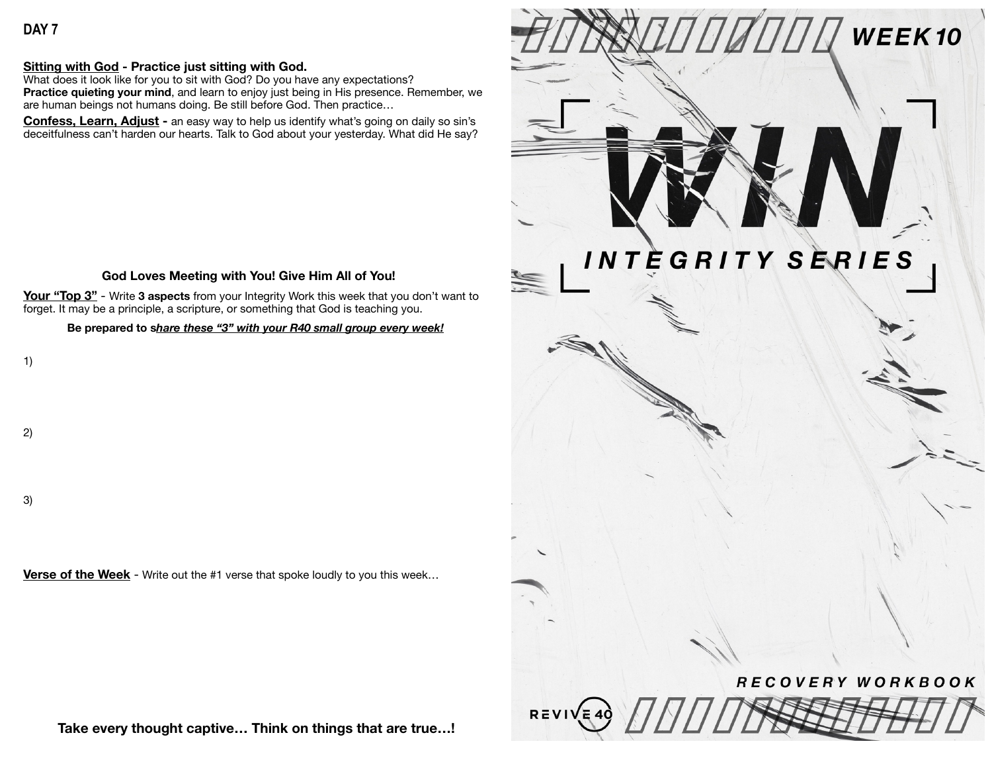#### **Sitting with God - Practice just sitting with God.**

What does it look like for you to sit with God? Do you have any expectations? **Practice quieting your mind**, and learn to enjoy just being in His presence. Remember, we are human beings not humans doing. Be still before God. Then practice…

**Confess, Learn, Adjust -** an easy way to help us identify what's going on daily so sin's deceitfulness can't harden our hearts. Talk to God about your yesterday. What did He say?

### **God Loves Meeting with You! Give Him All of You!**

**Your "Top 3"** - Write **3 aspects** from your Integrity Work this week that you don't want to forget. It may be a principle, a scripture, or something that God is teaching you.

#### **Be prepared to s***hare these "3" with your R40 small group every week!*

1)

2)

3)

**Verse of the Week** - Write out the #1 verse that spoke loudly to you this week...

**Take every thought captive… Think on things that are true…!**

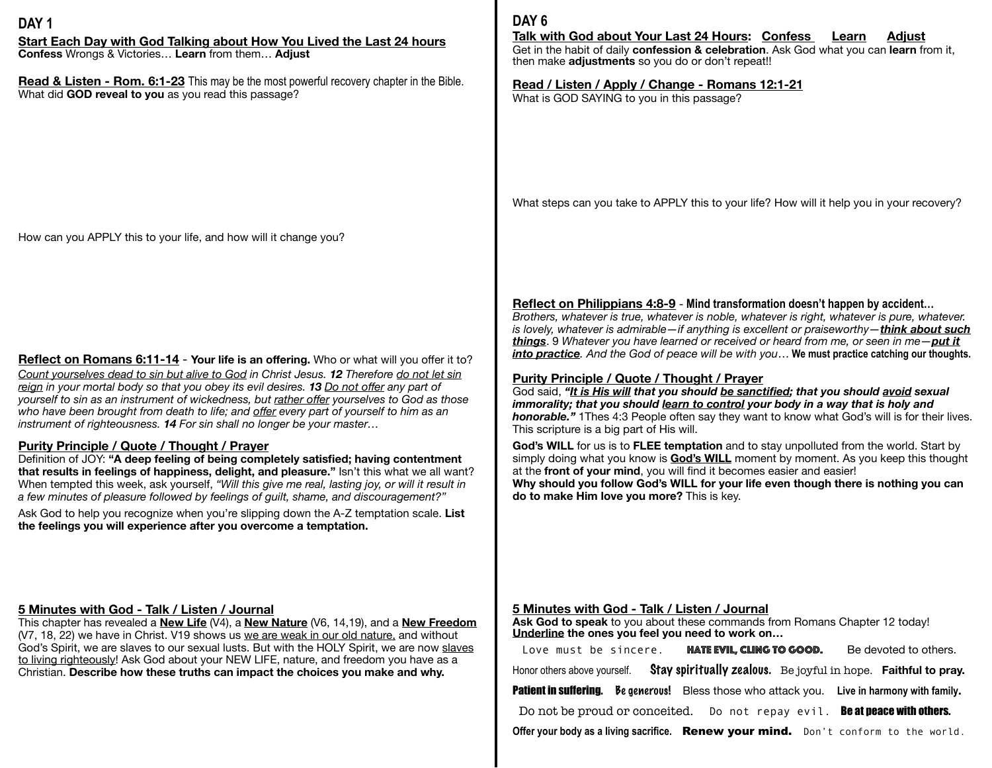## **DAY 1**

**Start Each Day with God Talking about How You Lived the Last 24 hours Confess** Wrongs & Victories… **Learn** from them… **Adjust**

**Read & Listen - Rom. 6:1-23** This may be the most powerful recovery chapter in the Bible. What did **GOD reveal to you** as you read this passage?

How can you APPLY this to your life, and how will it change you?

**Reflect on Romans 6:11-14 - Your life is an offering. Who or what will you offer it to?** *Count yourselves dead to sin but alive to God in Christ Jesus. 12 Therefore do not let sin reign in your mortal body so that you obey its evil desires. 13 Do not offer any part of yourself to sin as an instrument of wickedness, but rather offer yourselves to God as those who have been brought from death to life; and offer every part of yourself to him as an instrument of righteousness. 14 For sin shall no longer be your master…*

#### **Purity Principle / Quote / Thought / Prayer**

Definition of JOY: **"A deep feeling of being completely satisfied; having contentment that results in feelings of happiness, delight, and pleasure."** Isn't this what we all want? When tempted this week, ask yourself, *"Will this give me real, lasting joy, or will it result in a few minutes of pleasure followed by feelings of guilt, shame, and discouragement?"*

Ask God to help you recognize when you're slipping down the A-Z temptation scale. **List the feelings you will experience after you overcome a temptation.**

# **5 Minutes with God - Talk / Listen / Journal**

This chapter has revealed a **New Life** (V4), a **New Nature** (V6, 14,19), and a **New Freedom**  (V7, 18, 22) we have in Christ. V19 shows us we are weak in our old nature, and without God's Spirit, we are slaves to our sexual lusts. But with the HOLY Spirit, we are now slaves to living righteously! Ask God about your NEW LIFE, nature, and freedom you have as a Christian. **Describe how these truths can impact the choices you make and why.** 

## **DAY 6**

## **Talk with God about Your Last 24 Hours: Confess Learn Adjust**

Get in the habit of daily **confession & celebration**. Ask God what you can **learn** from it, then make **adjustments** so you do or don't repeat!!

**Read / Listen / Apply / Change - Romans 12:1-21**  What is GOD SAYING to you in this passage?

What steps can you take to APPLY this to your life? How will it help you in your recovery?

## **Reflect on Philippians 4:8-9** - **Mind transformation doesn't happen by accident…**

*Brothers, whatever is true, whatever is noble, whatever is right, whatever is pure, whatever. is lovely, whatever is admirable—if anything is excellent or praiseworthy—think about such things*. 9 *Whatever you have learned or received or heard from me, or seen in me—put it into practice. And the God of peace will be with you*… **We must practice catching our thoughts.**

## **Purity Principle / Quote / Thought / Prayer**

God said, "It is His will that you should be sanctified; that you should avoid sexual *immorality; that you should learn to control your body in a way that is holy and honorable."* 1Thes 4:3 People often say they want to know what God's will is for their lives. This scripture is a big part of His will.

**God's WILL** for us is to **FLEE temptation** and to stay unpolluted from the world. Start by simply doing what you know is **God's WILL** moment by moment. As you keep this thought at the **front of your mind**, you will find it becomes easier and easier!

**Why should you follow God's WILL for your life even though there is nothing you can do to make Him love you more?** This is key.

#### **5 Minutes with God - Talk / Listen / Journal**

Ask God to speak to you about these commands from Romans Chapter 12 today! **Underline the ones you feel you need to work on…** 

| Love must be sincere.                                                                               | HATE EVIL, CLING TO GOOD. |  |  | Be devoted to others. |  |  |
|-----------------------------------------------------------------------------------------------------|---------------------------|--|--|-----------------------|--|--|
| Honor others above yourself. $\quad$ Stay spiritually zealous. Be joyful in hope. Faithful to pray. |                           |  |  |                       |  |  |
| Patient in suffering. Be generous! Bless those who attack you. Live in harmony with family.         |                           |  |  |                       |  |  |
| Do not be proud or conceited. Do not repay evil. Be at peace with others.                           |                           |  |  |                       |  |  |
| Offer your body as a living sacrifice. Renew your mind. Don't conform to the world.                 |                           |  |  |                       |  |  |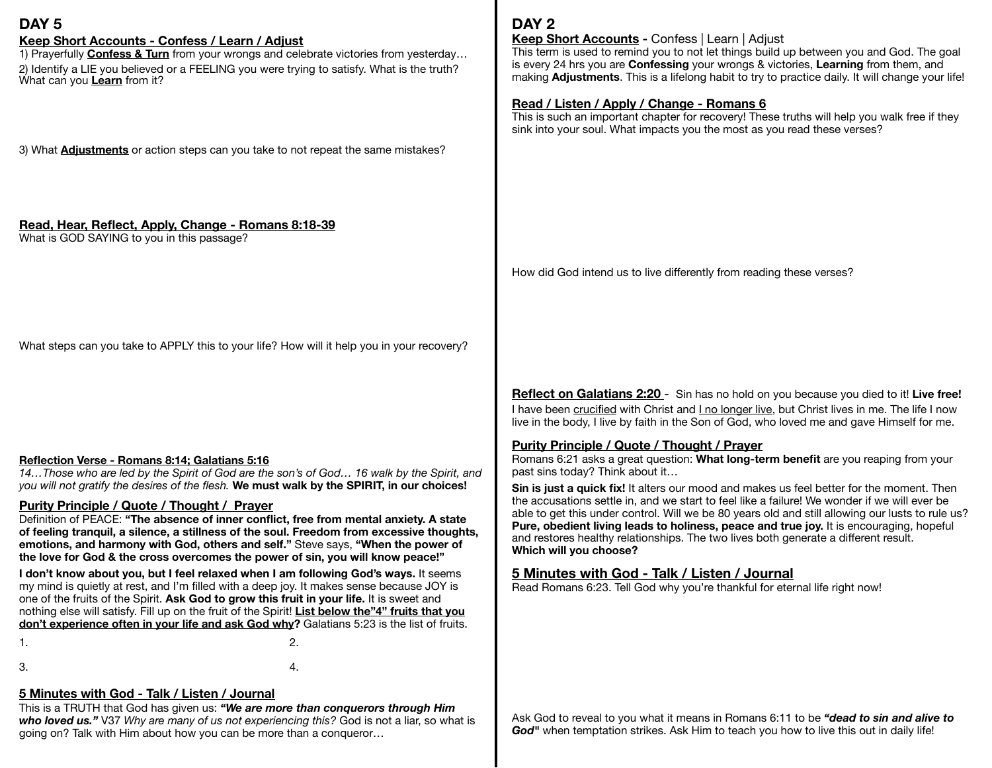## **DAY 5**

**Keep Short Accounts - Confess / Learn / Adjust**<br>1) Prayerfully **Confess & Turn** from your wrongs and celebrate victories from yesterday... 2) Identify a LIE you believed or a FEELING you were trying to satisfy. What is the truth? What can you **Learn** from it?

3) What **Adjustments** or action steps can you take to not repeat the same mistakes?

### **Read, Hear, Reflect, Apply, Change - Romans 8:18-39**

What is GOD SAYING to you in this passage?

What steps can you take to APPLY this to your life? How will it help you in your recovery?

#### **Reflection Verse - Romans 8:14; Galatians 5:16**

*14…Those who are led by the Spirit of God are the son's of God… 16 walk by the Spirit, and you will not gratify the desires of the flesh.* **We must walk by the SPIRIT, in our choices!**

#### **Purity Principle / Quote / Thought / Prayer**

Definition of PEACE: **"The absence of inner conflict, free from mental anxiety. A state of feeling tranquil, a silence, a stillness of the soul. Freedom from excessive thoughts, emotions, and harmony with God, others and self."** Steve says, **"When the power of the love for God & the cross overcomes the power of sin, you will know peace!"** 

**I don't know about you, but I feel relaxed when I am following God's ways.** It seems my mind is quietly at rest, and I'm filled with a deep joy. It makes sense because JOY is one of the fruits of the Spirit. **Ask God to grow this fruit in your life.** It is sweet and nothing else will satisfy. Fill up on the fruit of the Spirit! **List below the"4" fruits that you don't experience often in your life and ask God why?** Galatians 5:23 is the list of fruits.

 $1.$   $2.$ 

 $3.$   $4.$ 

# **5 Minutes with God - Talk / Listen / Journal**

This is a TRUTH that God has given us: *"We are more than conquerors through Him who loved us."* V37 *Why are many of us not experiencing this?* God is not a liar, so what is going on? Talk with Him about how you can be more than a conqueror…

# **DAY 2**

## **Keep Short Accounts -** Confess | Learn | Adjust

This term is used to remind you to not let things build up between you and God. The goal is every 24 hrs you are **Confessing** your wrongs & victories, **Learning** from them, and making **Adjustments**. This is a lifelong habit to try to practice daily. It will change your life!

#### **Read / Listen / Apply / Change - Romans 6**

This is such an important chapter for recovery! These truths will help you walk free if they sink into your soul. What impacts you the most as you read these verses?

How did God intend us to live differently from reading these verses?

**Reflect on Galatians 2:20** - Sin has no hold on you because you died to it! **Live free!**  I have been crucified with Christ and I no longer live, but Christ lives in me. The life I now live in the body, I live by faith in the Son of God, who loved me and gave Himself for me.

## **Purity Principle / Quote / Thought / Prayer**

Romans 6:21 asks a great question: **What long-term benefit** are you reaping from your past sins today? Think about it…

**Sin is just a quick fix!** It alters our mood and makes us feel better for the moment. Then the accusations settle in, and we start to feel like a failure! We wonder if we will ever be able to get this under control. Will we be 80 years old and still allowing our lusts to rule us? **Pure, obedient living leads to holiness, peace and true joy.** It is encouraging, hopeful and restores healthy relationships. The two lives both generate a different result. **Which will you choose?** 

## **5 Minutes with God - Talk / Listen / Journal**

Read Romans 6:23. Tell God why you're thankful for eternal life right now!

Ask God to reveal to you what it means in Romans 6:11 to be *"dead to sin and alive to*  God" when temptation strikes. Ask Him to teach you how to live this out in daily life!